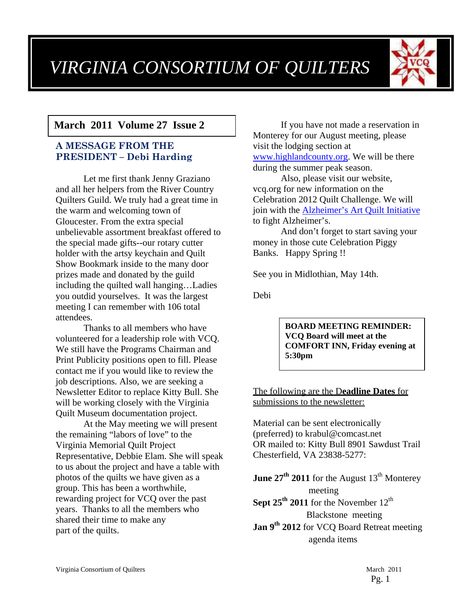# *VIRGINIA CONSORTIUM OF QUILTERS*



## **March 2011 Volume 27 Issue 2**

#### **A MESSAGE FROM THE PRESIDENT – Debi Harding**

Let me first thank Jenny Graziano and all her helpers from the River Country Quilters Guild. We truly had a great time in the warm and welcoming town of Gloucester. From the extra special unbelievable assortment breakfast offered to the special made gifts--our rotary cutter holder with the artsy keychain and Quilt Show Bookmark inside to the many door prizes made and donated by the guild including the quilted wall hanging…Ladies you outdid yourselves. It was the largest meeting I can remember with 106 total attendees.

Thanks to all members who have volunteered for a leadership role with VCQ. We still have the Programs Chairman and Print Publicity positions open to fill. Please contact me if you would like to review the job descriptions. Also, we are seeking a Newsletter Editor to replace Kitty Bull. She will be working closely with the Virginia Quilt Museum documentation project.

At the May meeting we will present the remaining "labors of love" to the Virginia Memorial Quilt Project Representative, Debbie Elam. She will speak to us about the project and have a table with photos of the quilts we have given as a group. This has been a worthwhile, rewarding project for VCQ over the past years. Thanks to all the members who shared their time to make any part of the quilts.

If you have not made a reservation in Monterey for our August meeting, please visit the lodging section at www.highlandcounty.org. We will be there during the summer peak season.

Also, please visit our website, vcq.org for new information on the Celebration 2012 Quilt Challenge. We will join with the Alzheimer's Art Quilt Initiative to fight Alzheimer's.

And don't forget to start saving your money in those cute Celebration Piggy Banks. Happy Spring !!

See you in Midlothian, May 14th.

Debi

**BOARD MEETING REMINDER: VCQ Board will meet at the COMFORT INN, Friday evening at 5:30pm** 

#### The following are the D**eadline Dates** for submissions to the newsletter:

Material can be sent electronically (preferred) to krabul@comcast.net OR mailed to: Kitty Bull 8901 Sawdust Trail Chesterfield, VA 23838-5277:

**June 27<sup>th</sup> 2011** for the August  $13<sup>th</sup>$  Monterey meeting **Sept 25<sup>th</sup> 2011** for the November  $12<sup>th</sup>$ Blackstone meeting

Jan 9<sup>th</sup> 2012 for VCQ Board Retreat meeting agenda items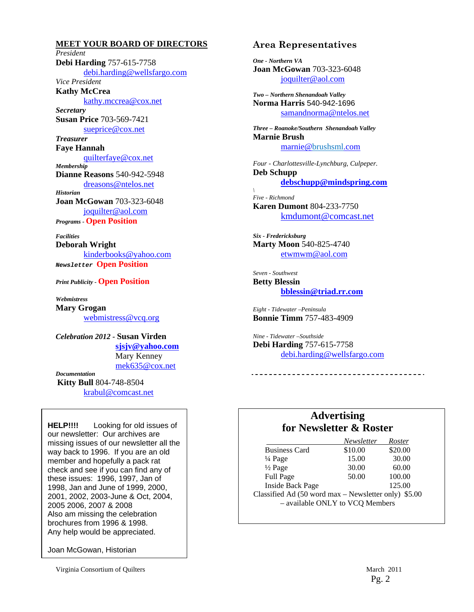**MEET YOUR BOARD OF DIRECTORS** *President*  **Debi Harding** 757-615-7758 debi.harding@wellsfargo.com *Vice President*  **Kathy McCrea**  kathy.mccrea@cox.net *Secretary*  **Susan Price** 703-569-7421 sueprice@cox.net *Treasurer*  **Faye Hannah**  quilterfaye@cox.net *Membership*  **Dianne Reasons** 540-942-5948 dreasons@ntelos.net *Historian*  **Joan McGowan** 703-323-6048 joquilter@aol.com *Programs -* **Open Position** 

*Facilities*  **Deborah Wright**  kinderbooks@yahoo.com *Newsletter* **Open Position**

*Print Publicity -* **Open Position** 

*Webmistress*  **Mary Grogan**  webmistress@vcq.org

*Celebration 2012 -* **Susan Virden sjsjv@yahoo.com** Mary Kenney mek635@cox.net *Documentation* 

**Kitty Bull** 804-748-8504 krabul@comcast.net

**HELP!!!!** Looking for old issues of our newsletter: Our archives are missing issues of our newsletter all the way back to 1996. If you are an old member and hopefully a pack rat check and see if you can find any of these issues: 1996, 1997, Jan of 1998, Jan and June of 1999, 2000, 2001, 2002, 2003-June & Oct, 2004, 2005 2006, 2007 & 2008 Also am missing the celebration brochures from 1996 & 1998. Any help would be appreciated.

Joan McGowan, Historian

Virginia Consortium of Quilters March 2011

#### **Area Representatives**

*One - Northern VA*  **Joan McGowan** 703-323-6048 joquilter@aol.com

*Two – Northern Shenandoah Valley* **Norma Harris** 540-942-1696 samandnorma@ntelos.net

*Three – Roanoke/Southern Shenandoah Valley*  **Marnie Brush** marnie@brushsml.com

*Four - Charlottesville-Lynchburg, Culpeper.*  **Deb Schupp debschupp@mindspring.com**

*\ Five - Richmond*  **Karen Dumont** 804-233-7750 kmdumont@comcast.net

*Six - Fredericksburg*  **Marty Moon** 540-825-4740 etwmwm@aol.com

*Seven - Southwest*  **Betty Blessin bblessin@triad.rr.com**

*Eight - Tidewater –Peninsula*  **Bonnie Timm** 757-483-4909

*Nine - Tidewater –Southside*  **Debi Harding** 757-615-7758 debi.harding@wellsfargo.com

#### **Advertising for Newsletter & Roster**

-----------------------------

|                                                      | Newsletter | Roster  |  |
|------------------------------------------------------|------------|---------|--|
| <b>Business Card</b>                                 | \$10.00    | \$20.00 |  |
| $\frac{1}{4}$ Page                                   | 15.00      | 30.00   |  |
| $\frac{1}{2}$ Page                                   | 30.00      | 60.00   |  |
| Full Page                                            | 50.00      | 100.00  |  |
| <b>Inside Back Page</b>                              |            | 125.00  |  |
| Classified Ad (50 word max – Newsletter only) \$5.00 |            |         |  |
| - available ONLY to VCQ Members                      |            |         |  |
|                                                      |            |         |  |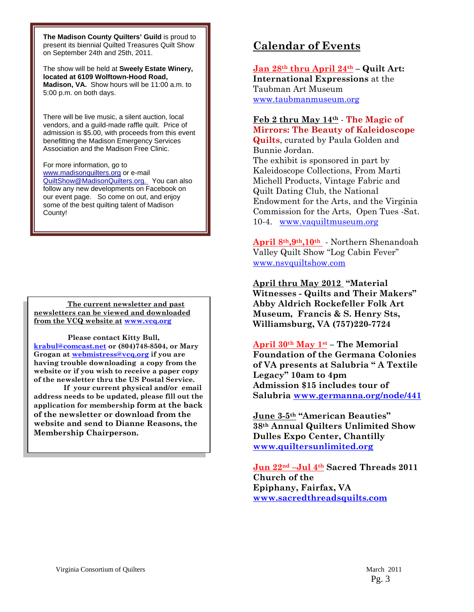**The Madison County Quilters' Guild** is proud to present its biennial Quilted Treasures Quilt Show on September 24th and 25th, 2011.

The show will be held at **Sweely Estate Winery, located at 6109 Wolftown-Hood Road, Madison, VA.** Show hours will be 11:00 a.m. to 5:00 p.m. on both days.

There will be live music, a silent auction, local vendors, and a guild-made raffle quilt. Price of admission is \$5.00, with proceeds from this event benefitting the Madison Emergency Services Association and the Madison Free Clinic.

For more information, go to www.madisonquilters.org or e-mail QuiltShow@MadisonQuilters.org. You can also follow any new developments on Facebook on our event page. So come on out, and enjoy some of the best quilting talent of Madison County!

 **The current newsletter and past newsletters can be viewed and downloaded from the VCQ website at www.vcq.org**

 **Please contact Kitty Bull, krabul@comcast.net or (804)748-8504, or Mary Grogan at webmistress@vcq.org if you are having trouble downloading a copy from the website or if you wish to receive a paper copy of the newsletter thru the US Postal Service.** 

 **If your current physical and/or email address needs to be updated, please fill out the application for membership form at the back of the newsletter or download from the website and send to Dianne Reasons, the Membership Chairperson.** 

## **Calendar of Events**

**Jan 28th thru April 24th – Quilt Art: International Expressions** at the Taubman Art Museum www.taubmanmuseum.org

#### **Feb 2 thru May 14th** - **The Magic of Mirrors: The Beauty of Kaleidoscope**

**Quilts**, curated by Paula Golden and Bunnie Jordan. The exhibit is sponsored in part by Kaleidoscope Collections, From Marti Michell Products, Vintage Fabric and Quilt Dating Club, the National Endowment for the Arts, and the Virginia Commission for the Arts, Open Tues -Sat. 10-4. www.vaquiltmuseum.org

**April 8th,9th,10th** - Northern Shenandoah Valley Quilt Show "Log Cabin Fever" www.nsvquiltshow.com

**April thru May 2012 "Material Witnesses - Quilts and Their Makers" Abby Aldrich Rockefeller Folk Art Museum, Francis & S. Henry Sts, Williamsburg, VA (757)220-7724** 

**April 30th May 1st – The Memorial Foundation of the Germana Colonies of VA presents at Salubria " A Textile Legacy" 10am to 4pm Admission \$15 includes tour of Salubria www.germanna.org/node/441** 

**June 3-5th "American Beauties" 38th Annual Quilters Unlimited Show Dulles Expo Center, Chantilly www.quiltersunlimited.org**

**Jun 22nd –Jul 4th Sacred Threads 2011 Church of the Epiphany, Fairfax, VA www.sacredthreadsquilts.com**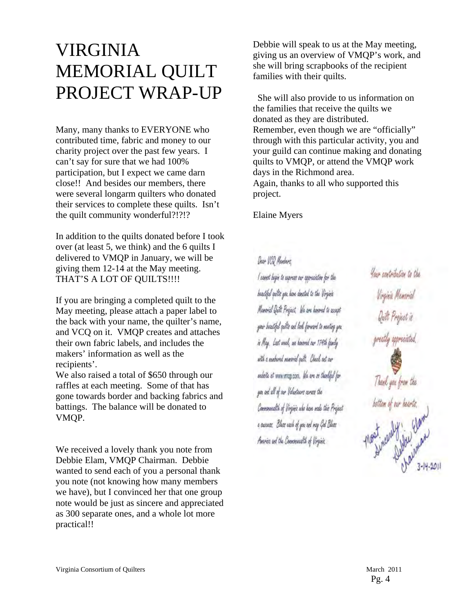## VIRGINIA MEMORIAL QUILT PROJECT WRAP-UP

Many, many thanks to EVERYONE who contributed time, fabric and money to our charity project over the past few years. I can't say for sure that we had 100% participation, but I expect we came darn close!! And besides our members, there were several longarm quilters who donated their services to complete these quilts. Isn't the quilt community wonderful?!?!?

In addition to the quilts donated before I took over (at least 5, we think) and the 6 quilts I delivered to VMQP in January, we will be giving them 12-14 at the May meeting. THAT'S A LOT OF QUILTS!!!!

If you are bringing a completed quilt to the May meeting, please attach a paper label to the back with your name, the quilter's name, and VCQ on it. VMQP creates and attaches their own fabric labels, and includes the makers' information as well as the recipients'.

We also raised a total of \$650 through our raffles at each meeting. Some of that has gone towards border and backing fabrics and battings. The balance will be donated to VMQP.

We received a lovely thank you note from Debbie Elam, VMQP Chairman. Debbie wanted to send each of you a personal thank you note (not knowing how many members we have), but I convinced her that one group note would be just as sincere and appreciated as 300 separate ones, and a whole lot more practical!!

Debbie will speak to us at the May meeting, giving us an overview of VMQP's work, and she will bring scrapbooks of the recipient families with their quilts.

 She will also provide to us information on the families that receive the quilts we donated as they are distributed. Remember, even though we are "officially" through with this particular activity, you and your guild can continue making and donating quilts to VMQP, or attend the VMQP work days in the Richmond area. Again, thanks to all who supported this project.

Elaine Myers

Dear VOD Members l'osent bopie to aspear our oppraiation for the boastiful quilts you have devoted to the Virginia Manorich Quilt Project, We are knored to accept your beautiful suite and leak forward to meeting you. in Mag. Last week, no hansved our 174th family with a machined musical path, Check out car nobote at www.vriep.com. We are in theolded for you and all of our Velasteers ceress the Communité of Virginis ula hom male this Project a ouccess. Blees each of you and may God Blees Amries and the Commentable of Virginiz

Your contribution to the Thank you from the bottom of our hearts.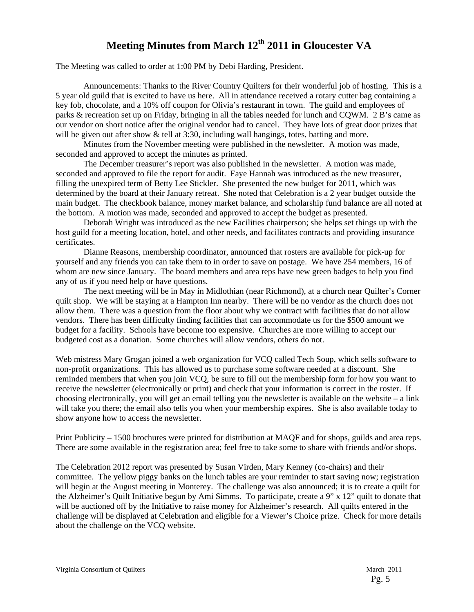## **Meeting Minutes from March 12th 2011 in Gloucester VA**

The Meeting was called to order at 1:00 PM by Debi Harding, President.

Announcements: Thanks to the River Country Quilters for their wonderful job of hosting. This is a 5 year old guild that is excited to have us here. All in attendance received a rotary cutter bag containing a key fob, chocolate, and a 10% off coupon for Olivia's restaurant in town. The guild and employees of parks & recreation set up on Friday, bringing in all the tables needed for lunch and CQWM. 2 B's came as our vendor on short notice after the original vendor had to cancel. They have lots of great door prizes that will be given out after show & tell at 3:30, including wall hangings, totes, batting and more.

Minutes from the November meeting were published in the newsletter. A motion was made, seconded and approved to accept the minutes as printed.

The December treasurer's report was also published in the newsletter. A motion was made, seconded and approved to file the report for audit. Faye Hannah was introduced as the new treasurer, filling the unexpired term of Betty Lee Stickler. She presented the new budget for 2011, which was determined by the board at their January retreat. She noted that Celebration is a 2 year budget outside the main budget. The checkbook balance, money market balance, and scholarship fund balance are all noted at the bottom. A motion was made, seconded and approved to accept the budget as presented.

Deborah Wright was introduced as the new Facilities chairperson; she helps set things up with the host guild for a meeting location, hotel, and other needs, and facilitates contracts and providing insurance certificates.

Dianne Reasons, membership coordinator, announced that rosters are available for pick-up for yourself and any friends you can take them to in order to save on postage. We have 254 members, 16 of whom are new since January. The board members and area reps have new green badges to help you find any of us if you need help or have questions.

The next meeting will be in May in Midlothian (near Richmond), at a church near Quilter's Corner quilt shop. We will be staying at a Hampton Inn nearby. There will be no vendor as the church does not allow them. There was a question from the floor about why we contract with facilities that do not allow vendors. There has been difficulty finding facilities that can accommodate us for the \$500 amount we budget for a facility. Schools have become too expensive. Churches are more willing to accept our budgeted cost as a donation. Some churches will allow vendors, others do not.

Web mistress Mary Grogan joined a web organization for VCQ called Tech Soup, which sells software to non-profit organizations. This has allowed us to purchase some software needed at a discount. She reminded members that when you join VCQ, be sure to fill out the membership form for how you want to receive the newsletter (electronically or print) and check that your information is correct in the roster. If choosing electronically, you will get an email telling you the newsletter is available on the website – a link will take you there; the email also tells you when your membership expires. She is also available today to show anyone how to access the newsletter.

Print Publicity – 1500 brochures were printed for distribution at MAQF and for shops, guilds and area reps. There are some available in the registration area; feel free to take some to share with friends and/or shops.

The Celebration 2012 report was presented by Susan Virden, Mary Kenney (co-chairs) and their committee. The yellow piggy banks on the lunch tables are your reminder to start saving now; registration will begin at the August meeting in Monterey. The challenge was also announced; it is to create a quilt for the Alzheimer's Quilt Initiative begun by Ami Simms. To participate, create a 9" x 12" quilt to donate that will be auctioned off by the Initiative to raise money for Alzheimer's research. All quilts entered in the challenge will be displayed at Celebration and eligible for a Viewer's Choice prize. Check for more details about the challenge on the VCQ website.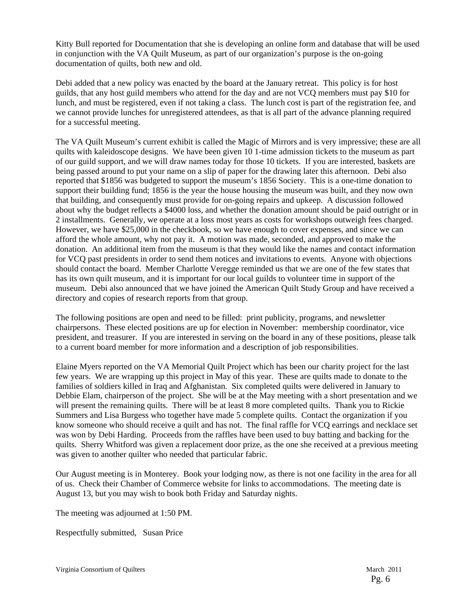Kitty Bull reported for Documentation that she is developing an online form and database that will be used in conjunction with the VA Quilt Museum, as part of our organization's purpose is the on-going documentation of quilts, both new and old.

Debi added that a new policy was enacted by the board at the January retreat. This policy is for host guilds, that any host guild members who attend for the day and are not VCQ members must pay \$10 for lunch, and must be registered, even if not taking a class. The lunch cost is part of the registration fee, and we cannot provide lunches for unregistered attendees, as that is all part of the advance planning required for a successful meeting.

The VA Quilt Museum's current exhibit is called the Magic of Mirrors and is very impressive; these are all quilts with kaleidoscope designs. We have been given 10 1-time admission tickets to the museum as part of our guild support, and we will draw names today for those 10 tickets. If you are interested, baskets are being passed around to put your name on a slip of paper for the drawing later this afternoon. Debi also reported that \$1856 was budgeted to support the museum's 1856 Society. This is a one-time donation to support their building fund; 1856 is the year the house housing the museum was built, and they now own that building, and consequently must provide for on-going repairs and upkeep. A discussion followed about why the budget reflects a \$4000 loss, and whether the donation amount should be paid outright or in 2 installments. Generally, we operate at a loss most years as costs for workshops outweigh fees charged. However, we have \$25,000 in the checkbook, so we have enough to cover expenses, and since we can afford the whole amount, why not pay it. A motion was made, seconded, and approved to make the donation. An additional item from the museum is that they would like the names and contact information for VCQ past presidents in order to send them notices and invitations to events. Anyone with objections should contact the board. Member Charlotte Veregge reminded us that we are one of the few states that has its own quilt museum, and it is important for our local guilds to volunteer time in support of the museum. Debi also announced that we have joined the American Quilt Study Group and have received a directory and copies of research reports from that group.

The following positions are open and need to be filled: print publicity, programs, and newsletter chairpersons. These elected positions are up for election in November: membership coordinator, vice president, and treasurer. If you are interested in serving on the board in any of these positions, please talk to a current board member for more information and a description of job responsibilities.

Elaine Myers reported on the VA Memorial Quilt Project which has been our charity project for the last few years. We are wrapping up this project in May of this year. These are quilts made to donate to the families of soldiers killed in Iraq and Afghanistan. Six completed quilts were delivered in January to Debbie Elam, chairperson of the project. She will be at the May meeting with a short presentation and we will present the remaining quilts. There will be at least 8 more completed quilts. Thank you to Rickie Summers and Lisa Burgess who together have made 5 complete quilts. Contact the organization if you know someone who should receive a quilt and has not. The final raffle for VCQ earrings and necklace set was won by Debi Harding. Proceeds from the raffles have been used to buy batting and backing for the quilts. Sherry Whitford was given a replacement door prize, as the one she received at a previous meeting was given to another quilter who needed that particular fabric.

Our August meeting is in Monterey. Book your lodging now, as there is not one facility in the area for all of us. Check their Chamber of Commerce website for links to accommodations. The meeting date is August 13, but you may wish to book both Friday and Saturday nights.

The meeting was adjourned at 1:50 PM.

Respectfully submitted, Susan Price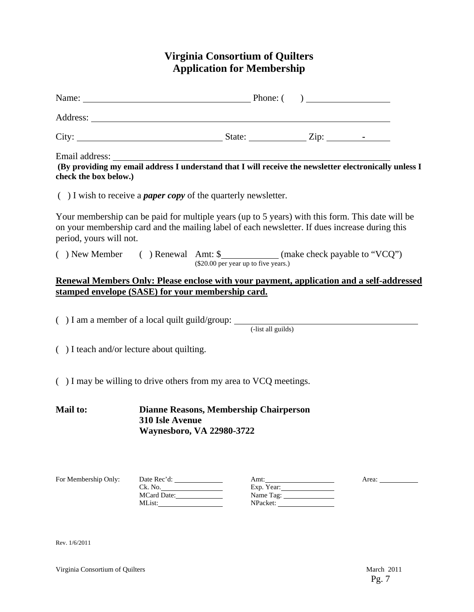## **Virginia Consortium of Quilters Application for Membership**

| Name: <u>Name:</u> Phone: ( )                                                                                                                                                                                                 |                        |                                      |                                             |                                                                                                        |
|-------------------------------------------------------------------------------------------------------------------------------------------------------------------------------------------------------------------------------|------------------------|--------------------------------------|---------------------------------------------|--------------------------------------------------------------------------------------------------------|
|                                                                                                                                                                                                                               |                        |                                      |                                             |                                                                                                        |
|                                                                                                                                                                                                                               |                        |                                      |                                             |                                                                                                        |
| Email address:<br>check the box below.)                                                                                                                                                                                       |                        |                                      |                                             | (By providing my email address I understand that I will receive the newsletter electronically unless I |
| $( )$ I wish to receive a <i>paper copy</i> of the quarterly newsletter.                                                                                                                                                      |                        |                                      |                                             |                                                                                                        |
| Your membership can be paid for multiple years (up to 5 years) with this form. This date will be<br>on your membership card and the mailing label of each newsletter. If dues increase during this<br>period, yours will not. |                        |                                      |                                             |                                                                                                        |
| () New Member () Renewal Amt: \$ ____________ (make check payable to "VCQ")                                                                                                                                                   |                        | (\$20.00 per year up to five years.) |                                             |                                                                                                        |
| Renewal Members Only: Please enclose with your payment, application and a self-addressed<br>stamped envelope (SASE) for your membership card.                                                                                 |                        |                                      |                                             |                                                                                                        |
| ( $)$ I am a member of a local quilt guild/group: $\frac{1}{\text{dist all guids)}}$                                                                                                                                          |                        |                                      |                                             |                                                                                                        |
| $( )$ I teach and/or lecture about quilting.                                                                                                                                                                                  |                        |                                      |                                             |                                                                                                        |
| $( )$ I may be willing to drive others from my area to VCQ meetings.                                                                                                                                                          |                        |                                      |                                             |                                                                                                        |
| <b>Mail to:</b><br>Dianne Reasons, Membership Chairperson<br>310 Isle Avenue<br><b>Waynesboro, VA 22980-3722</b>                                                                                                              |                        |                                      |                                             |                                                                                                        |
| For Membership Only:                                                                                                                                                                                                          | Ck. No.<br>MCard Date: |                                      | Amt:<br>Exp. Year:<br>Name Tag:<br>NPacket: | Area: $\frac{1}{\sqrt{1-\frac{1}{2}} \cdot \frac{1}{2}}$                                               |

Rev. 1/6/2011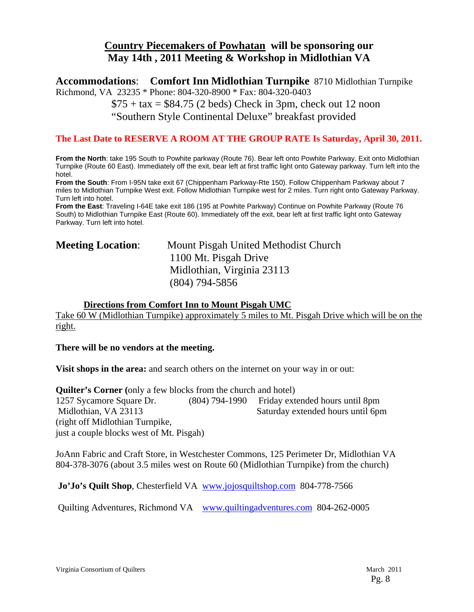## **Country Piecemakers of Powhatan will be sponsoring our May 14th , 2011 Meeting & Workshop in Midlothian VA**

**Accommodations**: **Comfort Inn Midlothian Turnpike** 8710 Midlothian Turnpike Richmond, VA 23235 \* Phone: 804-320-8900 \* Fax: 804-320-0403

> $$75 + tax = $84.75$  (2 beds) Check in 3pm, check out 12 noon "Southern Style Continental Deluxe" breakfast provided

#### **The Last Date to RESERVE A ROOM AT THE GROUP RATE Is Saturday, April 30, 2011.**

**From the North**: take 195 South to Powhite parkway (Route 76). Bear left onto Powhite Parkway. Exit onto Midlothian Turnpike (Route 60 East). Immediately off the exit, bear left at first traffic light onto Gateway parkway. Turn left into the hotel.

**From the South**: From I-95N take exit 67 (Chippenham Parkway-Rte 150). Follow Chippenham Parkway about 7 miles to Midlothian Turnpike West exit. Follow Midlothian Turnpike west for 2 miles. Turn right onto Gateway Parkway. Turn left into hotel.

**From the East**: Traveling I-64E take exit 186 (195 at Powhite Parkway) Continue on Powhite Parkway (Route 76 South) to Midlothian Turnpike East (Route 60). Immediately off the exit, bear left at first traffic light onto Gateway Parkway. Turn left into hotel.

| <b>Meeting Location:</b> | Mount Pisgah United Methodist Church |
|--------------------------|--------------------------------------|
|                          | 1100 Mt. Pisgah Drive                |
|                          | Midlothian, Virginia 23113           |
|                          | $(804)$ 794-5856                     |

#### **Directions from Comfort Inn to Mount Pisgah UMC**

Take 60 W (Midlothian Turnpike) approximately 5 miles to Mt. Pisgah Drive which will be on the right.

#### **There will be no vendors at the meeting.**

**Visit shops in the area:** and search others on the internet on your way in or out:

**Quilter's Corner (**only a few blocks from the church and hotel) 1257 Sycamore Square Dr. (804) 794-1990 Friday extended hours until 8pm Midlothian, VA 23113 Saturday extended hours until 6pm (right off Midlothian Turnpike, just a couple blocks west of Mt. Pisgah)

JoAnn Fabric and Craft Store, in Westchester Commons, 125 Perimeter Dr, Midlothian VA 804-378-3076 (about 3.5 miles west on Route 60 (Midlothian Turnpike) from the church)

 **Jo'Jo's Quilt Shop**, Chesterfield VA www.jojosquiltshop.com 804-778-7566

Quilting Adventures, Richmond VA www.quiltingadventures.com 804-262-0005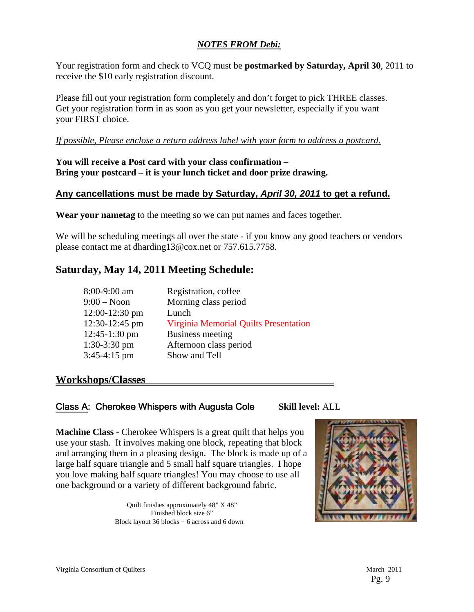#### *NOTES FROM Debi:*

Your registration form and check to VCQ must be **postmarked by Saturday, April 30**, 2011 to receive the \$10 early registration discount.

Please fill out your registration form completely and don't forget to pick THREE classes. Get your registration form in as soon as you get your newsletter, especially if you want your FIRST choice.

#### *If possible, Please enclose a return address label with your form to address a postcard.*

#### **You will receive a Post card with your class confirmation – Bring your postcard – it is your lunch ticket and door prize drawing.**

#### **Any cancellations must be made by Saturday,** *April 30, 2011* **to get a refund.**

**Wear your nametag** to the meeting so we can put names and faces together.

We will be scheduling meetings all over the state - if you know any good teachers or vendors please contact me at dharding13@cox.net or 757.615.7758.

## **Saturday, May 14, 2011 Meeting Schedule:**

| 8:00-9:00 am     | Registration, coffee                  |
|------------------|---------------------------------------|
| $9:00 - N$ oon   | Morning class period                  |
| $12:00-12:30$ pm | Lunch                                 |
| 12:30-12:45 pm   | Virginia Memorial Quilts Presentation |
| 12:45-1:30 pm    | Business meeting                      |
| $1:30-3:30$ pm   | Afternoon class period                |
| $3:45-4:15$ pm   | Show and Tell                         |
|                  |                                       |

## **Workshops/Classes**

#### Class A: Cherokee Whispers with Augusta Cole **Skill level:** ALL

**Machine Class - Cherokee Whispers is a great quilt that helps you** use your stash. It involves making one block, repeating that block and arranging them in a pleasing design. The block is made up of a large half square triangle and 5 small half square triangles. I hope you love making half square triangles! You may choose to use all one background or a variety of different background fabric.

> Quilt finishes approximately 48" X 48" Finished block size 6" Block layout 36 blocks – 6 across and 6 down

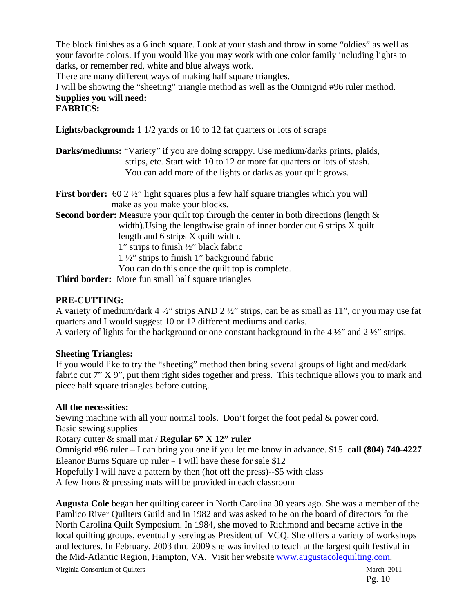The block finishes as a 6 inch square. Look at your stash and throw in some "oldies" as well as your favorite colors. If you would like you may work with one color family including lights to darks, or remember red, white and blue always work.

There are many different ways of making half square triangles.

I will be showing the "sheeting" triangle method as well as the Omnigrid #96 ruler method. **Supplies you will need:** 

#### **FABRICS:**

**Lights/background:** 1 1/2 yards or 10 to 12 fat quarters or lots of scraps

- **Darks/mediums:** "Variety" if you are doing scrappy. Use medium/darks prints, plaids, strips, etc. Start with 10 to 12 or more fat quarters or lots of stash. You can add more of the lights or darks as your quilt grows.
- **First border:** 60 2  $\frac{1}{2}$  light squares plus a few half square triangles which you will make as you make your blocks.

**Second border:** Measure your quilt top through the center in both directions (length  $\&$  width).Using the lengthwise grain of inner border cut 6 strips X quilt length and 6 strips X quilt width. 1" strips to finish ½" black fabric

1 ½" strips to finish 1" background fabric

You can do this once the quilt top is complete.

**Third border:** More fun small half square triangles

#### **PRE-CUTTING:**

A variety of medium/dark  $4\frac{1}{2}$ " strips AND  $2\frac{1}{2}$ " strips, can be as small as 11", or you may use fat quarters and I would suggest 10 or 12 different mediums and darks. A variety of lights for the background or one constant background in the 4 ½" and 2 ½" strips.

#### **Sheeting Triangles:**

If you would like to try the "sheeting" method then bring several groups of light and med/dark fabric cut 7" X 9", put them right sides together and press. This technique allows you to mark and piece half square triangles before cutting.

#### **All the necessities:**

Sewing machine with all your normal tools. Don't forget the foot pedal & power cord. Basic sewing supplies

Rotary cutter & small mat / **Regular 6" X 12" ruler**

Omnigrid #96 ruler – I can bring you one if you let me know in advance. \$15 **call (804) 740-4227** Eleanor Burns Square up ruler  $-$  I will have these for sale \$12

Hopefully I will have a pattern by then (hot off the press)--\$5 with class

A few Irons & pressing mats will be provided in each classroom

**Augusta Cole** began her quilting career in North Carolina 30 years ago. She was a member of the Pamlico River Quilters Guild and in 1982 and was asked to be on the board of directors for the North Carolina Quilt Symposium. In 1984, she moved to Richmond and became active in the local quilting groups, eventually serving as President of VCQ. She offers a variety of workshops and lectures. In February, 2003 thru 2009 she was invited to teach at the largest quilt festival in the Mid-Atlantic Region, Hampton, VA. Visit her website www.augustacolequilting.com.

Virginia Consortium of Quilters March 2011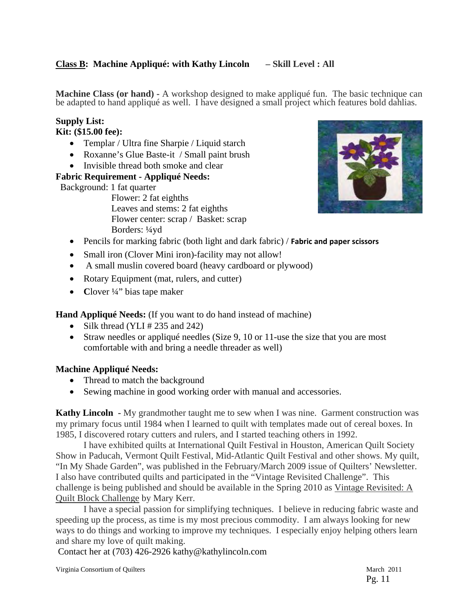#### **Class B: Machine Appliqué: with Kathy Lincoln – Skill Level : All**

**Machine Class (or hand) -** A workshop designed to make appliqué fun. The basic technique can be adapted to hand appliqué as well. I have designed a small project which features bold dahlias.

## **Supply List:**

## **Kit: (\$15.00 fee):**

- Templar / Ultra fine Sharpie / Liquid starch
- Roxanne's Glue Baste-it / Small paint brush
- Invisible thread both smoke and clear

#### **Fabric Requirement - Appliqué Needs:**

Background: 1 fat quarter

 Flower: 2 fat eighths Leaves and stems: 2 fat eighths Flower center: scrap / Basket: scrap Borders: ¼yd



- Pencils for marking fabric (both light and dark fabric) / **Fabric and paper scissors**
- Small iron (Clover Mini iron)-facility may not allow!
- A small muslin covered board (heavy cardboard or plywood)
- Rotary Equipment (mat, rulers, and cutter)
- Clover 1/4" bias tape maker

**Hand Appliqué Needs:** (If you want to do hand instead of machine)

- Silk thread (YLI  $\#$  235 and 242)
- Straw needles or appliqué needles (Size 9, 10 or 11-use the size that you are most comfortable with and bring a needle threader as well)

#### **Machine Appliqué Needs:**

- Thread to match the background
- Sewing machine in good working order with manual and accessories.

**Kathy Lincoln** - My grandmother taught me to sew when I was nine. Garment construction was my primary focus until 1984 when I learned to quilt with templates made out of cereal boxes. In 1985, I discovered rotary cutters and rulers, and I started teaching others in 1992.

I have exhibited quilts at International Quilt Festival in Houston, American Quilt Society Show in Paducah, Vermont Quilt Festival, Mid-Atlantic Quilt Festival and other shows. My quilt, "In My Shade Garden", was published in the February/March 2009 issue of Quilters' Newsletter. I also have contributed quilts and participated in the "Vintage Revisited Challenge". This challenge is being published and should be available in the Spring 2010 as Vintage Revisited: A Quilt Block Challenge by Mary Kerr.

I have a special passion for simplifying techniques. I believe in reducing fabric waste and speeding up the process, as time is my most precious commodity. I am always looking for new ways to do things and working to improve my techniques. I especially enjoy helping others learn and share my love of quilt making.

Contact her at (703) 426-2926 kathy@kathylincoln.com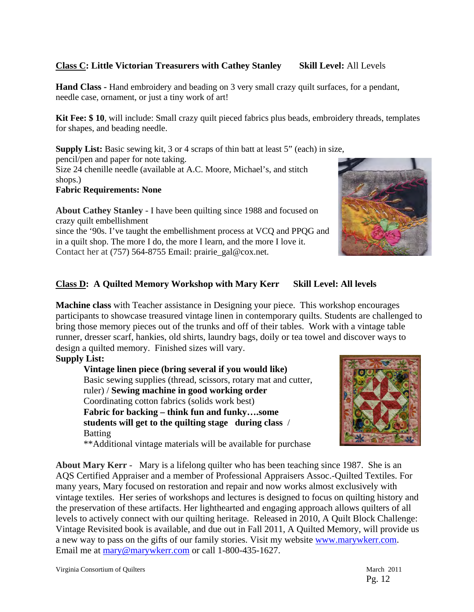#### **Class C: Little Victorian Treasurers with Cathey Stanley Skill Level:** All Levels

**Hand Class -** Hand embroidery and beading on 3 very small crazy quilt surfaces, for a pendant, needle case, ornament, or just a tiny work of art!

**Kit Fee: \$ 10**, will include: Small crazy quilt pieced fabrics plus beads, embroidery threads, templates for shapes, and beading needle.

**Supply List:** Basic sewing kit, 3 or 4 scraps of thin batt at least 5" (each) in size, pencil/pen and paper for note taking. Size 24 chenille needle (available at A.C. Moore, Michael's, and stitch shops.)

#### **Fabric Requirements: None**

**About Cathey Stanley -** I have been quilting since 1988 and focused on crazy quilt embellishment

since the '90s. I've taught the embellishment process at VCQ and PPQG and in a quilt shop. The more I do, the more I learn, and the more I love it. Contact her at (757) 564-8755 Email: prairie\_gal@cox.net.



#### **Class D: A Quilted Memory Workshop with Mary Kerr Skill Level: All levels**

**Machine class** with Teacher assistance in Designing your piece. This workshop encourages participants to showcase treasured vintage linen in contemporary quilts. Students are challenged to bring those memory pieces out of the trunks and off of their tables. Work with a vintage table runner, dresser scarf, hankies, old shirts, laundry bags, doily or tea towel and discover ways to design a quilted memory. Finished sizes will vary.

#### **Supply List:**

**Vintage linen piece (bring several if you would like)**  Basic sewing supplies (thread, scissors, rotary mat and cutter, ruler) / **Sewing machine in good working order**  Coordinating cotton fabrics (solids work best) **Fabric for backing – think fun and funky….some students will get to the quilting stage during class** / Batting

\*\*Additional vintage materials will be available for purchase

**About Mary Kerr -** Mary is a lifelong quilter who has been teaching since 1987. She is an AQS Certified Appraiser and a member of Professional Appraisers Assoc.-Quilted Textiles. For many years, Mary focused on restoration and repair and now works almost exclusively with vintage textiles. Her series of workshops and lectures is designed to focus on quilting history and the preservation of these artifacts. Her lighthearted and engaging approach allows quilters of all levels to actively connect with our quilting heritage. Released in 2010, A Quilt Block Challenge: Vintage Revisited book is available, and due out in Fall 2011, A Quilted Memory, will provide us a new way to pass on the gifts of our family stories. Visit my website www.marywkerr.com. Email me at mary@marywkerr.com or call 1-800-435-1627.

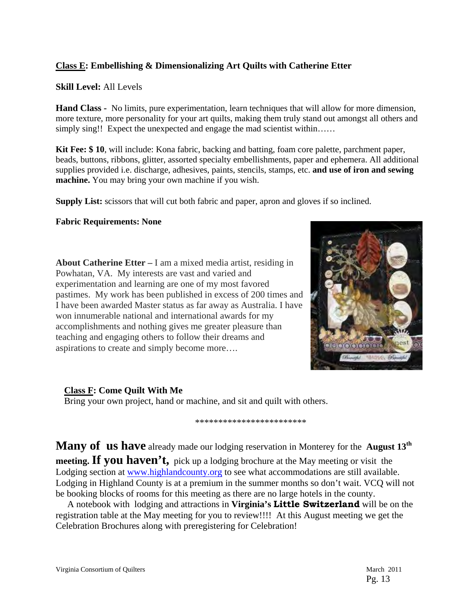#### **Class E: Embellishing & Dimensionalizing Art Quilts with Catherine Etter**

#### **Skill Level:** All Levels

**Hand Class -** No limits, pure experimentation, learn techniques that will allow for more dimension, more texture, more personality for your art quilts, making them truly stand out amongst all others and simply sing!! Expect the unexpected and engage the mad scientist within……

**Kit Fee: \$ 10**, will include: Kona fabric, backing and batting, foam core palette, parchment paper, beads, buttons, ribbons, glitter, assorted specialty embellishments, paper and ephemera. All additional supplies provided i.e. discharge, adhesives, paints, stencils, stamps, etc. **and use of iron and sewing machine.** You may bring your own machine if you wish.

**Supply List:** scissors that will cut both fabric and paper, apron and gloves if so inclined.

#### **Fabric Requirements: None**

**About Catherine Etter –** I am a mixed media artist, residing in Powhatan, VA. My interests are vast and varied and experimentation and learning are one of my most favored pastimes. My work has been published in excess of 200 times and I have been awarded Master status as far away as Australia. I have won innumerable national and international awards for my accomplishments and nothing gives me greater pleasure than teaching and engaging others to follow their dreams and aspirations to create and simply become more….



#### **Class F: Come Quilt With Me**

Bring your own project, hand or machine, and sit and quilt with others.

\*\*\*\*\*\*\*\*\*\*\*\*\*\*\*\*\*\*\*\*\*\*\*\*

**Many of us have** already made our lodging reservation in Monterey for the **August 13th meeting. If you haven't,** pick up a lodging brochure at the May meeting or visit the Lodging section at www.highlandcounty.org to see what accommodations are still available. Lodging in Highland County is at a premium in the summer months so don't wait. VCQ will not be booking blocks of rooms for this meeting as there are no large hotels in the county.

 A notebook with lodging and attractions in **Virginia's Little Switzerland** will be on the registration table at the May meeting for you to review!!!! At this August meeting we get the Celebration Brochures along with preregistering for Celebration!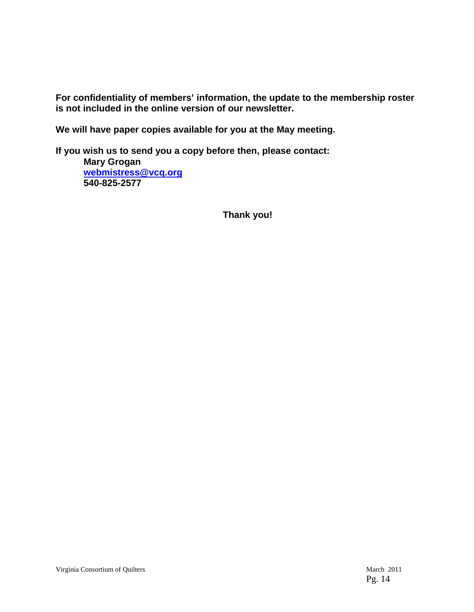**For confidentiality of members' information, the update to the membership roster is not included in the online version of our newsletter.** 

**We will have paper copies available for you at the May meeting.** 

**If you wish us to send you a copy before then, please contact: Mary Grogan webmistress@vcq.org 540-825-2577** 

 **Thank you!**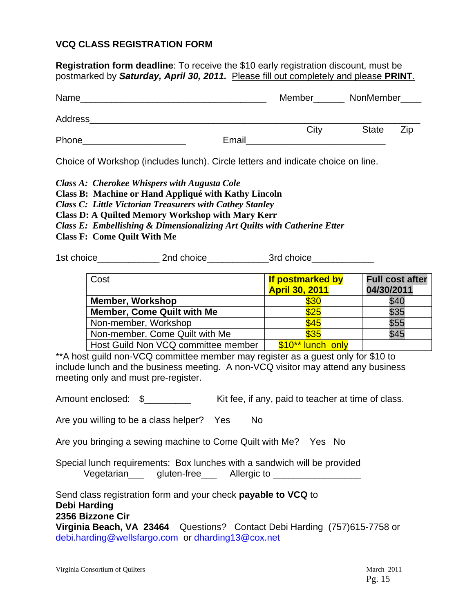#### **VCQ CLASS REGISTRATION FORM**

**Registration form deadline**: To receive the \$10 early registration discount, must be postmarked by *Saturday, April 30, 2011.* Please fill out completely and please **PRINT**.

| Name    |       | Member | NonMember____ |     |
|---------|-------|--------|---------------|-----|
| Address |       |        |               |     |
| Phone   | Email | City   | <b>State</b>  | Zip |

Choice of Workshop (includes lunch). Circle letters and indicate choice on line.

*Class A: Cherokee Whispers with Augusta Cole* 

**Class B: Machine or Hand Appliqué with Kathy Lincoln** 

*Class C: Little Victorian Treasurers with Cathey Stanley* 

**Class D: A Quilted Memory Workshop with Mary Kerr** 

- *Class E: Embellishing & Dimensionalizing Art Quilts with Catherine Etter*
- **Class F: Come Quilt With Me**

1st choice and choice and choice and choice and  $3$ rd choice

| Cost                                | <b>If postmarked by</b><br><b>April 30, 2011</b> | <b>Full cost after</b><br>04/30/2011 |
|-------------------------------------|--------------------------------------------------|--------------------------------------|
| <b>Member, Workshop</b>             | \$30                                             | \$40                                 |
| <b>Member, Come Quilt with Me</b>   | \$25                                             | \$35                                 |
| Non-member, Workshop                | \$45                                             | \$55                                 |
| Non-member, Come Quilt with Me      | \$35                                             | \$45                                 |
| Host Guild Non VCQ committee member | \$10** lunch only                                |                                      |

\*\*A host guild non-VCQ committee member may register as a guest only for \$10 to include lunch and the business meeting. A non-VCQ visitor may attend any business meeting only and must pre-register.

Amount enclosed:  $\quad$  \$ Kit fee, if any, paid to teacher at time of class.

Are you willing to be a class helper? Yes No

Are you bringing a sewing machine to Come Quilt with Me? Yes No

Special lunch requirements: Box lunches with a sandwich will be provided Vegetarian\_\_\_ gluten-free\_\_\_ Allergic to \_\_\_\_\_\_\_\_\_\_\_\_\_\_\_\_\_

Send class registration form and your check **payable to VCQ** to **Debi Harding 2356 Bizzone Cir Virginia Beach, VA 23464** Questions? Contact Debi Harding (757)615-7758 or debi.harding@wellsfargo.com or dharding13@cox.net